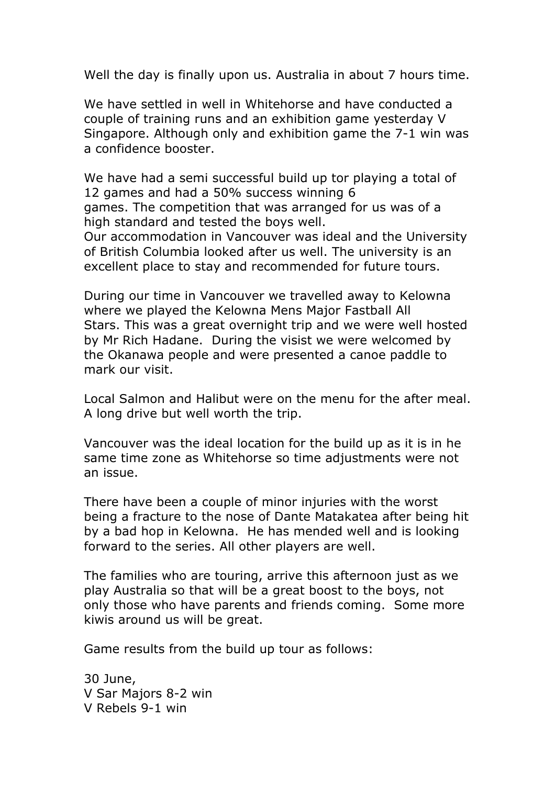Well the day is finally upon us. Australia in about 7 hours time.

We have settled in well in Whitehorse and have conducted a couple of training runs and an exhibition game yesterday V Singapore. Although only and exhibition game the 7-1 win was a confidence booster.

We have had a semi successful build up tor playing a total of 12 games and had a 50% success winning 6 games. The competition that was arranged for us was of a high standard and tested the boys well. Our accommodation in Vancouver was ideal and the University of British Columbia looked after us well. The university is an excellent place to stay and recommended for future tours.

During our time in Vancouver we travelled away to Kelowna where we played the Kelowna Mens Major Fastball All Stars. This was a great overnight trip and we were well hosted by Mr Rich Hadane. During the visist we were welcomed by the Okanawa people and were presented a canoe paddle to mark our visit.

Local Salmon and Halibut were on the menu for the after meal. A long drive but well worth the trip.

Vancouver was the ideal location for the build up as it is in he same time zone as Whitehorse so time adjustments were not an issue.

There have been a couple of minor injuries with the worst being a fracture to the nose of Dante Matakatea after being hit by a bad hop in Kelowna. He has mended well and is looking forward to the series. All other players are well.

The families who are touring, arrive this afternoon just as we play Australia so that will be a great boost to the boys, not only those who have parents and friends coming. Some more kiwis around us will be great.

Game results from the build up tour as follows:

30 June, V Sar Majors 8-2 win V Rebels 9-1 win